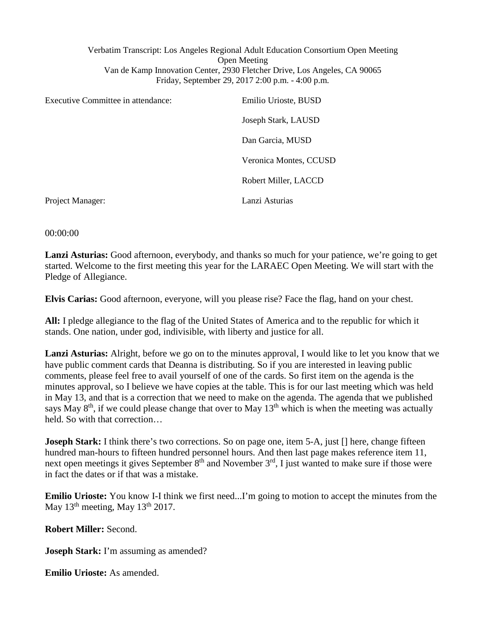Verbatim Transcript: Los Angeles Regional Adult Education Consortium Open Meeting Open Meeting Van de Kamp Innovation Center, 2930 Fletcher Drive, Los Angeles, CA 90065 Friday, September 29, 2017 2:00 p.m. - 4:00 p.m.

| Executive Committee in attendance: | Emilio Urioste, BUSD   |
|------------------------------------|------------------------|
|                                    | Joseph Stark, LAUSD    |
|                                    | Dan Garcia, MUSD       |
|                                    | Veronica Montes, CCUSD |
|                                    | Robert Miller, LACCD   |
| Project Manager:                   | Lanzi Asturias         |

00:00:00

**Lanzi Asturias:** Good afternoon, everybody, and thanks so much for your patience, we're going to get started. Welcome to the first meeting this year for the LARAEC Open Meeting. We will start with the Pledge of Allegiance.

**Elvis Carias:** Good afternoon, everyone, will you please rise? Face the flag, hand on your chest.

**All:** I pledge allegiance to the flag of the United States of America and to the republic for which it stands. One nation, under god, indivisible, with liberty and justice for all.

**Lanzi Asturias:** Alright, before we go on to the minutes approval, I would like to let you know that we have public comment cards that Deanna is distributing. So if you are interested in leaving public comments, please feel free to avail yourself of one of the cards. So first item on the agenda is the minutes approval, so I believe we have copies at the table. This is for our last meeting which was held in May 13, and that is a correction that we need to make on the agenda. The agenda that we published says May  $8<sup>th</sup>$ , if we could please change that over to May  $13<sup>th</sup>$  which is when the meeting was actually held. So with that correction…

**Joseph Stark:** I think there's two corrections. So on page one, item 5-A, just [] here, change fifteen hundred man-hours to fifteen hundred personnel hours. And then last page makes reference item 11, next open meetings it gives September  $8<sup>th</sup>$  and November  $3<sup>rd</sup>$ , I just wanted to make sure if those were in fact the dates or if that was a mistake.

**Emilio Urioste:** You know I-I think we first need...I'm going to motion to accept the minutes from the May  $13<sup>th</sup>$  meeting, May  $13<sup>th</sup>$  2017.

**Robert Miller:** Second.

**Joseph Stark:** I'm assuming as amended?

**Emilio Urioste:** As amended.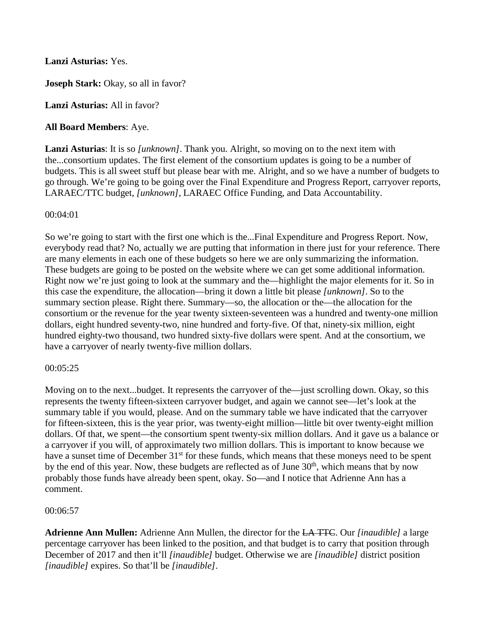# **Lanzi Asturias:** Yes.

**Joseph Stark:** Okay, so all in favor?

**Lanzi Asturias:** All in favor?

# **All Board Members**: Aye.

**Lanzi Asturias**: It is so *[unknown]*. Thank you. Alright, so moving on to the next item with the...consortium updates. The first element of the consortium updates is going to be a number of budgets. This is all sweet stuff but please bear with me. Alright, and so we have a number of budgets to go through. We're going to be going over the Final Expenditure and Progress Report, carryover reports, LARAEC/TTC budget, *[unknown]*, LARAEC Office Funding, and Data Accountability.

### 00:04:01

So we're going to start with the first one which is the...Final Expenditure and Progress Report. Now, everybody read that? No, actually we are putting that information in there just for your reference. There are many elements in each one of these budgets so here we are only summarizing the information. These budgets are going to be posted on the website where we can get some additional information. Right now we're just going to look at the summary and the—highlight the major elements for it. So in this case the expenditure, the allocation—bring it down a little bit please *[unknown]*. So to the summary section please. Right there. Summary—so, the allocation or the—the allocation for the consortium or the revenue for the year twenty sixteen-seventeen was a hundred and twenty-one million dollars, eight hundred seventy-two, nine hundred and forty-five. Of that, ninety-six million, eight hundred eighty-two thousand, two hundred sixty-five dollars were spent. And at the consortium, we have a carryover of nearly twenty-five million dollars.

### 00:05:25

Moving on to the next...budget. It represents the carryover of the—just scrolling down. Okay, so this represents the twenty fifteen-sixteen carryover budget, and again we cannot see—let's look at the summary table if you would, please. And on the summary table we have indicated that the carryover for fifteen-sixteen, this is the year prior, was twenty-eight million—little bit over twenty-eight million dollars. Of that, we spent—the consortium spent twenty-six million dollars. And it gave us a balance or a carryover if you will, of approximately two million dollars. This is important to know because we have a sunset time of December 31<sup>st</sup> for these funds, which means that these moneys need to be spent by the end of this year. Now, these budgets are reflected as of June  $30<sup>th</sup>$ , which means that by now probably those funds have already been spent, okay. So—and I notice that Adrienne Ann has a comment.

### 00:06:57

**Adrienne Ann Mullen:** Adrienne Ann Mullen, the director for the LA TTC. Our *[inaudible]* a large percentage carryover has been linked to the position, and that budget is to carry that position through December of 2017 and then it'll *[inaudible]* budget. Otherwise we are *[inaudible]* district position *[inaudible]* expires. So that'll be *[inaudible]*.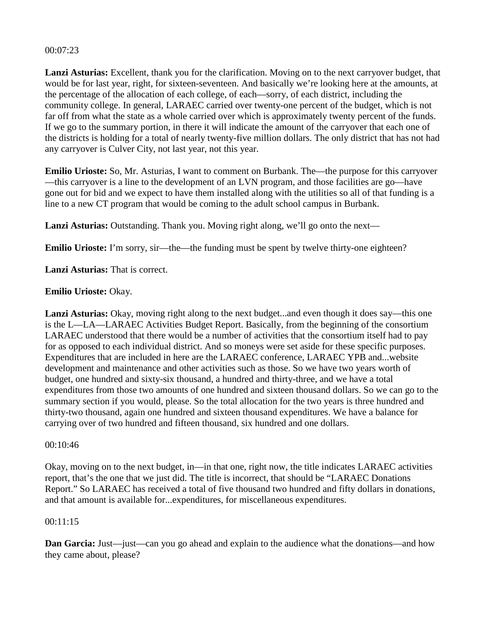#### 00:07:23

**Lanzi Asturias:** Excellent, thank you for the clarification. Moving on to the next carryover budget, that would be for last year, right, for sixteen-seventeen. And basically we're looking here at the amounts, at the percentage of the allocation of each college, of each—sorry, of each district, including the community college. In general, LARAEC carried over twenty-one percent of the budget, which is not far off from what the state as a whole carried over which is approximately twenty percent of the funds. If we go to the summary portion, in there it will indicate the amount of the carryover that each one of the districts is holding for a total of nearly twenty-five million dollars. The only district that has not had any carryover is Culver City, not last year, not this year.

**Emilio Urioste:** So, Mr. Asturias, I want to comment on Burbank. The—the purpose for this carryover —this carryover is a line to the development of an LVN program, and those facilities are go—have gone out for bid and we expect to have them installed along with the utilities so all of that funding is a line to a new CT program that would be coming to the adult school campus in Burbank.

Lanzi Asturias: Outstanding. Thank you. Moving right along, we'll go onto the next—

**Emilio Urioste:** I'm sorry, sir—the—the funding must be spent by twelve thirty-one eighteen?

**Lanzi Asturias:** That is correct.

#### **Emilio Urioste:** Okay.

Lanzi Asturias: Okay, moving right along to the next budget...and even though it does say—this one is the L—LA—LARAEC Activities Budget Report. Basically, from the beginning of the consortium LARAEC understood that there would be a number of activities that the consortium itself had to pay for as opposed to each individual district. And so moneys were set aside for these specific purposes. Expenditures that are included in here are the LARAEC conference, LARAEC YPB and...website development and maintenance and other activities such as those. So we have two years worth of budget, one hundred and sixty-six thousand, a hundred and thirty-three, and we have a total expenditures from those two amounts of one hundred and sixteen thousand dollars. So we can go to the summary section if you would, please. So the total allocation for the two years is three hundred and thirty-two thousand, again one hundred and sixteen thousand expenditures. We have a balance for carrying over of two hundred and fifteen thousand, six hundred and one dollars.

#### 00:10:46

Okay, moving on to the next budget, in—in that one, right now, the title indicates LARAEC activities report, that's the one that we just did. The title is incorrect, that should be "LARAEC Donations Report." So LARAEC has received a total of five thousand two hundred and fifty dollars in donations, and that amount is available for...expenditures, for miscellaneous expenditures.

#### 00:11:15

**Dan Garcia:** Just—just—can you go ahead and explain to the audience what the donations—and how they came about, please?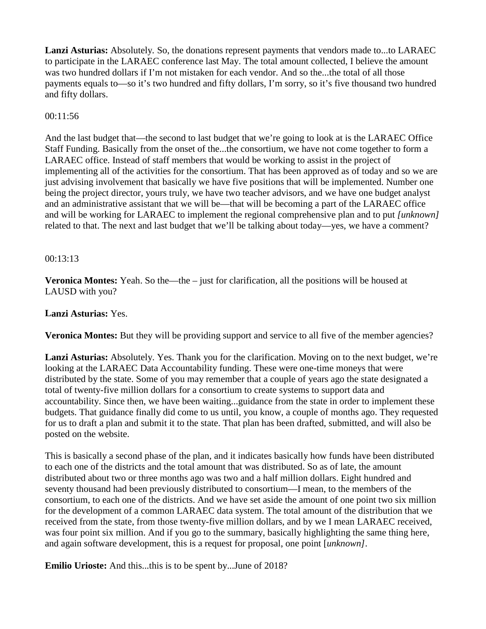**Lanzi Asturias:** Absolutely. So, the donations represent payments that vendors made to...to LARAEC to participate in the LARAEC conference last May. The total amount collected, I believe the amount was two hundred dollars if I'm not mistaken for each vendor. And so the...the total of all those payments equals to—so it's two hundred and fifty dollars, I'm sorry, so it's five thousand two hundred and fifty dollars.

#### $00:11:56$

And the last budget that—the second to last budget that we're going to look at is the LARAEC Office Staff Funding. Basically from the onset of the...the consortium, we have not come together to form a LARAEC office. Instead of staff members that would be working to assist in the project of implementing all of the activities for the consortium. That has been approved as of today and so we are just advising involvement that basically we have five positions that will be implemented. Number one being the project director, yours truly, we have two teacher advisors, and we have one budget analyst and an administrative assistant that we will be—that will be becoming a part of the LARAEC office and will be working for LARAEC to implement the regional comprehensive plan and to put *[unknown]* related to that. The next and last budget that we'll be talking about today—yes, we have a comment?

#### 00:13:13

**Veronica Montes:** Yeah. So the—the – just for clarification, all the positions will be housed at LAUSD with you?

#### **Lanzi Asturias:** Yes.

**Veronica Montes:** But they will be providing support and service to all five of the member agencies?

Lanzi Asturias: Absolutely. Yes. Thank you for the clarification. Moving on to the next budget, we're looking at the LARAEC Data Accountability funding. These were one-time moneys that were distributed by the state. Some of you may remember that a couple of years ago the state designated a total of twenty-five million dollars for a consortium to create systems to support data and accountability. Since then, we have been waiting...guidance from the state in order to implement these budgets. That guidance finally did come to us until, you know, a couple of months ago. They requested for us to draft a plan and submit it to the state. That plan has been drafted, submitted, and will also be posted on the website.

This is basically a second phase of the plan, and it indicates basically how funds have been distributed to each one of the districts and the total amount that was distributed. So as of late, the amount distributed about two or three months ago was two and a half million dollars. Eight hundred and seventy thousand had been previously distributed to consortium—I mean, to the members of the consortium, to each one of the districts. And we have set aside the amount of one point two six million for the development of a common LARAEC data system. The total amount of the distribution that we received from the state, from those twenty-five million dollars, and by we I mean LARAEC received, was four point six million. And if you go to the summary, basically highlighting the same thing here, and again software development, this is a request for proposal, one point [*unknown]*.

**Emilio Urioste:** And this...this is to be spent by...June of 2018?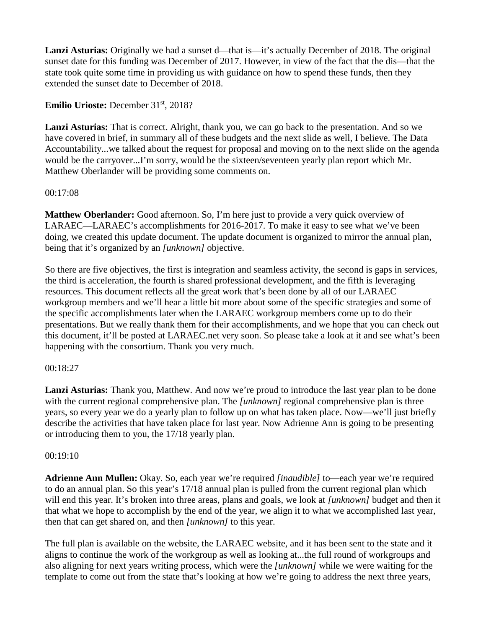Lanzi Asturias: Originally we had a sunset d—that is—it's actually December of 2018. The original sunset date for this funding was December of 2017. However, in view of the fact that the dis—that the state took quite some time in providing us with guidance on how to spend these funds, then they extended the sunset date to December of 2018.

# **Emilio Urioste:** December 31<sup>st</sup>, 2018?

**Lanzi Asturias:** That is correct. Alright, thank you, we can go back to the presentation. And so we have covered in brief, in summary all of these budgets and the next slide as well, I believe. The Data Accountability...we talked about the request for proposal and moving on to the next slide on the agenda would be the carryover...I'm sorry, would be the sixteen/seventeen yearly plan report which Mr. Matthew Oberlander will be providing some comments on.

#### 00:17:08

**Matthew Oberlander:** Good afternoon. So, I'm here just to provide a very quick overview of LARAEC—LARAEC's accomplishments for 2016-2017. To make it easy to see what we've been doing, we created this update document. The update document is organized to mirror the annual plan, being that it's organized by an *[unknown]* objective.

So there are five objectives, the first is integration and seamless activity, the second is gaps in services, the third is acceleration, the fourth is shared professional development, and the fifth is leveraging resources. This document reflects all the great work that's been done by all of our LARAEC workgroup members and we'll hear a little bit more about some of the specific strategies and some of the specific accomplishments later when the LARAEC workgroup members come up to do their presentations. But we really thank them for their accomplishments, and we hope that you can check out this document, it'll be posted at LARAEC.net very soon. So please take a look at it and see what's been happening with the consortium. Thank you very much.

### 00:18:27

**Lanzi Asturias:** Thank you, Matthew. And now we're proud to introduce the last year plan to be done with the current regional comprehensive plan. The *[unknown]* regional comprehensive plan is three years, so every year we do a yearly plan to follow up on what has taken place. Now—we'll just briefly describe the activities that have taken place for last year. Now Adrienne Ann is going to be presenting or introducing them to you, the 17/18 yearly plan.

#### 00:19:10

**Adrienne Ann Mullen:** Okay. So, each year we're required *[inaudible]* to—each year we're required to do an annual plan. So this year's 17/18 annual plan is pulled from the current regional plan which will end this year. It's broken into three areas, plans and goals, we look at *[unknown]* budget and then it that what we hope to accomplish by the end of the year, we align it to what we accomplished last year, then that can get shared on, and then *[unknown]* to this year.

The full plan is available on the website, the LARAEC website, and it has been sent to the state and it aligns to continue the work of the workgroup as well as looking at...the full round of workgroups and also aligning for next years writing process, which were the *[unknown]* while we were waiting for the template to come out from the state that's looking at how we're going to address the next three years,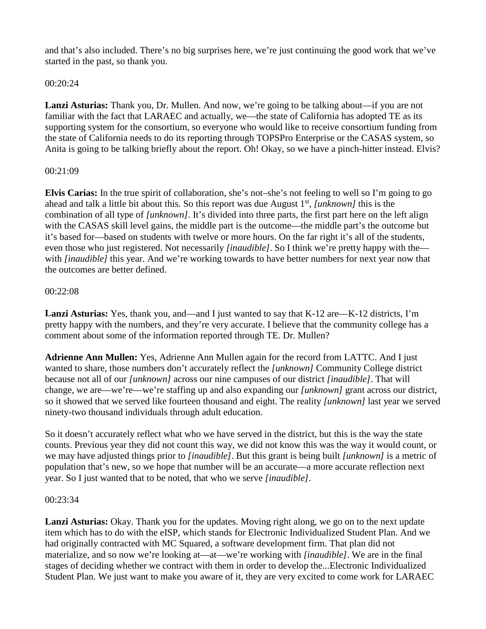and that's also included. There's no big surprises here, we're just continuing the good work that we've started in the past, so thank you.

# 00:20:24

Lanzi Asturias: Thank you, Dr. Mullen. And now, we're going to be talking about—if you are not familiar with the fact that LARAEC and actually, we—the state of California has adopted TE as its supporting system for the consortium, so everyone who would like to receive consortium funding from the state of California needs to do its reporting through TOPSPro Enterprise or the CASAS system, so Anita is going to be talking briefly about the report. Oh! Okay, so we have a pinch-hitter instead. Elvis?

# 00:21:09

**Elvis Carias:** In the true spirit of collaboration, she's not–she's not feeling to well so I'm going to go ahead and talk a little bit about this. So this report was due August 1st, *[unknown]* this is the combination of all type of *[unknown]*. It's divided into three parts, the first part here on the left align with the CASAS skill level gains, the middle part is the outcome—the middle part's the outcome but it's based for—based on students with twelve or more hours. On the far right it's all of the students, even those who just registered. Not necessarily *[inaudible]*. So I think we're pretty happy with the with *[inaudible]* this year. And we're working towards to have better numbers for next year now that the outcomes are better defined.

# 00:22:08

**Lanzi Asturias:** Yes, thank you, and—and I just wanted to say that K-12 are—K-12 districts, I'm pretty happy with the numbers, and they're very accurate. I believe that the community college has a comment about some of the information reported through TE. Dr. Mullen?

**Adrienne Ann Mullen:** Yes, Adrienne Ann Mullen again for the record from LATTC. And I just wanted to share, those numbers don't accurately reflect the *[unknown]* Community College district because not all of our *[unknown]* across our nine campuses of our district *[inaudible]*. That will change, we are—we're—we're staffing up and also expanding our *[unknown]* grant across our district, so it showed that we served like fourteen thousand and eight. The reality *[unknown]* last year we served ninety-two thousand individuals through adult education.

So it doesn't accurately reflect what who we have served in the district, but this is the way the state counts. Previous year they did not count this way, we did not know this was the way it would count, or we may have adjusted things prior to *[inaudible]*. But this grant is being built *[unknown]* is a metric of population that's new, so we hope that number will be an accurate—a more accurate reflection next year. So I just wanted that to be noted, that who we serve *[inaudible]*.

### 00:23:34

Lanzi Asturias: Okay. Thank you for the updates. Moving right along, we go on to the next update item which has to do with the eISP, which stands for Electronic Individualized Student Plan. And we had originally contracted with MC Squared, a software development firm. That plan did not materialize, and so now we're looking at—at—we're working with *[inaudible]*. We are in the final stages of deciding whether we contract with them in order to develop the...Electronic Individualized Student Plan. We just want to make you aware of it, they are very excited to come work for LARAEC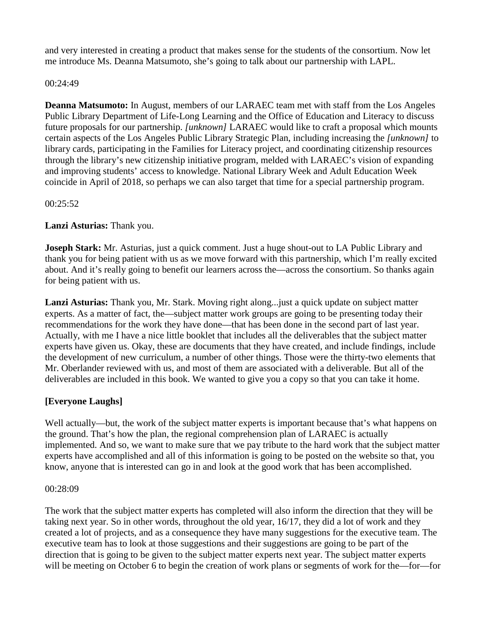and very interested in creating a product that makes sense for the students of the consortium. Now let me introduce Ms. Deanna Matsumoto, she's going to talk about our partnership with LAPL.

### 00:24:49

**Deanna Matsumoto:** In August, members of our LARAEC team met with staff from the Los Angeles Public Library Department of Life-Long Learning and the Office of Education and Literacy to discuss future proposals for our partnership. *[unknown]* LARAEC would like to craft a proposal which mounts certain aspects of the Los Angeles Public Library Strategic Plan, including increasing the *[unknown]* to library cards, participating in the Families for Literacy project, and coordinating citizenship resources through the library's new citizenship initiative program, melded with LARAEC's vision of expanding and improving students' access to knowledge. National Library Week and Adult Education Week coincide in April of 2018, so perhaps we can also target that time for a special partnership program.

00:25:52

**Lanzi Asturias:** Thank you.

**Joseph Stark:** Mr. Asturias, just a quick comment. Just a huge shout-out to LA Public Library and thank you for being patient with us as we move forward with this partnership, which I'm really excited about. And it's really going to benefit our learners across the—across the consortium. So thanks again for being patient with us.

**Lanzi Asturias:** Thank you, Mr. Stark. Moving right along...just a quick update on subject matter experts. As a matter of fact, the—subject matter work groups are going to be presenting today their recommendations for the work they have done—that has been done in the second part of last year. Actually, with me I have a nice little booklet that includes all the deliverables that the subject matter experts have given us. Okay, these are documents that they have created, and include findings, include the development of new curriculum, a number of other things. Those were the thirty-two elements that Mr. Oberlander reviewed with us, and most of them are associated with a deliverable. But all of the deliverables are included in this book. We wanted to give you a copy so that you can take it home.

# **[Everyone Laughs]**

Well actually—but, the work of the subject matter experts is important because that's what happens on the ground. That's how the plan, the regional comprehension plan of LARAEC is actually implemented. And so, we want to make sure that we pay tribute to the hard work that the subject matter experts have accomplished and all of this information is going to be posted on the website so that, you know, anyone that is interested can go in and look at the good work that has been accomplished.

### 00:28:09

The work that the subject matter experts has completed will also inform the direction that they will be taking next year. So in other words, throughout the old year, 16/17, they did a lot of work and they created a lot of projects, and as a consequence they have many suggestions for the executive team. The executive team has to look at those suggestions and their suggestions are going to be part of the direction that is going to be given to the subject matter experts next year. The subject matter experts will be meeting on October 6 to begin the creation of work plans or segments of work for the—for—for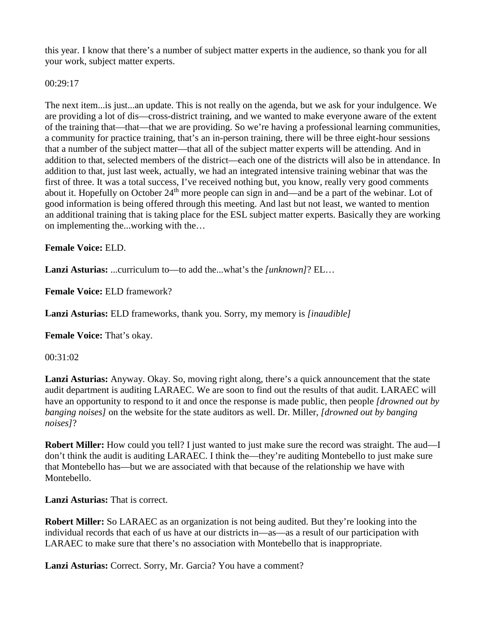this year. I know that there's a number of subject matter experts in the audience, so thank you for all your work, subject matter experts.

00:29:17

The next item...is just...an update. This is not really on the agenda, but we ask for your indulgence. We are providing a lot of dis—cross-district training, and we wanted to make everyone aware of the extent of the training that—that—that we are providing. So we're having a professional learning communities, a community for practice training, that's an in-person training, there will be three eight-hour sessions that a number of the subject matter—that all of the subject matter experts will be attending. And in addition to that, selected members of the district—each one of the districts will also be in attendance. In addition to that, just last week, actually, we had an integrated intensive training webinar that was the first of three. It was a total success, I've received nothing but, you know, really very good comments about it. Hopefully on October 24<sup>th</sup> more people can sign in and—and be a part of the webinar. Lot of good information is being offered through this meeting. And last but not least, we wanted to mention an additional training that is taking place for the ESL subject matter experts. Basically they are working on implementing the...working with the…

**Female Voice:** ELD.

**Lanzi Asturias:** ...curriculum to—to add the...what's the *[unknown]*? EL…

**Female Voice:** ELD framework?

**Lanzi Asturias:** ELD frameworks, thank you. Sorry, my memory is *[inaudible]*

**Female Voice:** That's okay.

00:31:02

**Lanzi Asturias:** Anyway. Okay. So, moving right along, there's a quick announcement that the state audit department is auditing LARAEC. We are soon to find out the results of that audit. LARAEC will have an opportunity to respond to it and once the response is made public, then people *[drowned out by banging noises]* on the website for the state auditors as well. Dr. Miller, *[drowned out by banging noises]*?

**Robert Miller:** How could you tell? I just wanted to just make sure the record was straight. The aud—I don't think the audit is auditing LARAEC. I think the—they're auditing Montebello to just make sure that Montebello has—but we are associated with that because of the relationship we have with Montebello.

**Lanzi Asturias:** That is correct.

**Robert Miller:** So LARAEC as an organization is not being audited. But they're looking into the individual records that each of us have at our districts in—as—as a result of our participation with LARAEC to make sure that there's no association with Montebello that is inappropriate.

**Lanzi Asturias:** Correct. Sorry, Mr. Garcia? You have a comment?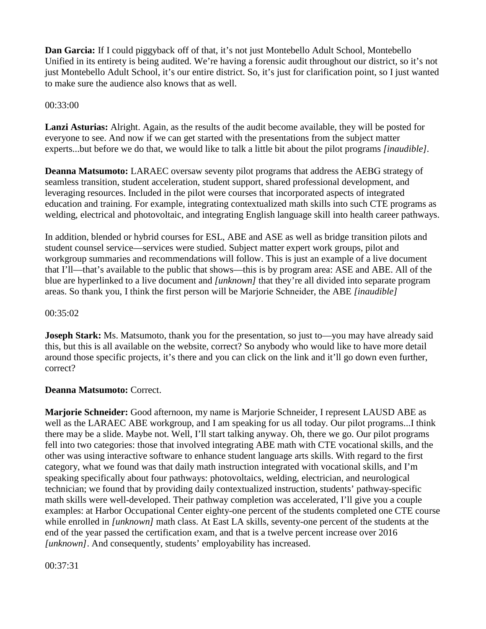**Dan Garcia:** If I could piggyback off of that, it's not just Montebello Adult School, Montebello Unified in its entirety is being audited. We're having a forensic audit throughout our district, so it's not just Montebello Adult School, it's our entire district. So, it's just for clarification point, so I just wanted to make sure the audience also knows that as well.

#### 00:33:00

**Lanzi Asturias:** Alright. Again, as the results of the audit become available, they will be posted for everyone to see. And now if we can get started with the presentations from the subject matter experts...but before we do that, we would like to talk a little bit about the pilot programs *[inaudible]*.

**Deanna Matsumoto:** LARAEC oversaw seventy pilot programs that address the AEBG strategy of seamless transition, student acceleration, student support, shared professional development, and leveraging resources. Included in the pilot were courses that incorporated aspects of integrated education and training. For example, integrating contextualized math skills into such CTE programs as welding, electrical and photovoltaic, and integrating English language skill into health career pathways.

In addition, blended or hybrid courses for ESL, ABE and ASE as well as bridge transition pilots and student counsel service—services were studied. Subject matter expert work groups, pilot and workgroup summaries and recommendations will follow. This is just an example of a live document that I'll—that's available to the public that shows—this is by program area: ASE and ABE. All of the blue are hyperlinked to a live document and *[unknown]* that they're all divided into separate program areas. So thank you, I think the first person will be Marjorie Schneider, the ABE *[inaudible]*

#### 00:35:02

**Joseph Stark:** Ms. Matsumoto, thank you for the presentation, so just to—you may have already said this, but this is all available on the website, correct? So anybody who would like to have more detail around those specific projects, it's there and you can click on the link and it'll go down even further, correct?

### **Deanna Matsumoto:** Correct.

**Marjorie Schneider:** Good afternoon, my name is Marjorie Schneider, I represent LAUSD ABE as well as the LARAEC ABE workgroup, and I am speaking for us all today. Our pilot programs...I think there may be a slide. Maybe not. Well, I'll start talking anyway. Oh, there we go. Our pilot programs fell into two categories: those that involved integrating ABE math with CTE vocational skills, and the other was using interactive software to enhance student language arts skills. With regard to the first category, what we found was that daily math instruction integrated with vocational skills, and I'm speaking specifically about four pathways: photovoltaics, welding, electrician, and neurological technician; we found that by providing daily contextualized instruction, students' pathway-specific math skills were well-developed. Their pathway completion was accelerated, I'll give you a couple examples: at Harbor Occupational Center eighty-one percent of the students completed one CTE course while enrolled in *[unknown]* math class. At East LA skills, seventy-one percent of the students at the end of the year passed the certification exam, and that is a twelve percent increase over 2016 *[unknown]*. And consequently, students' employability has increased.

00:37:31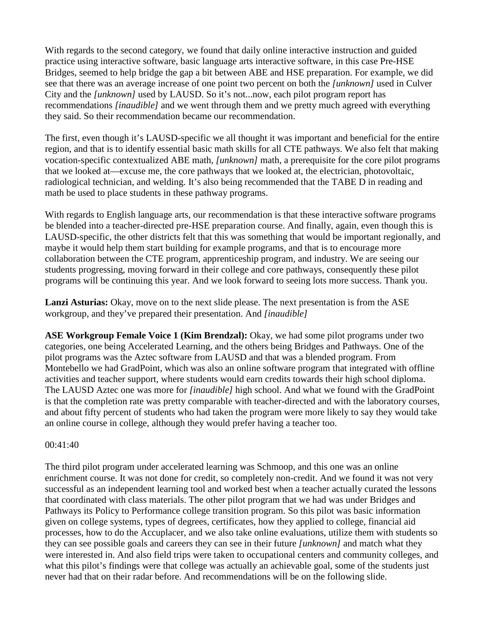With regards to the second category, we found that daily online interactive instruction and guided practice using interactive software, basic language arts interactive software, in this case Pre-HSE Bridges, seemed to help bridge the gap a bit between ABE and HSE preparation. For example, we did see that there was an average increase of one point two percent on both the *[unknown]* used in Culver City and the *[unknown]* used by LAUSD. So it's not...now, each pilot program report has recommendations *[inaudible]* and we went through them and we pretty much agreed with everything they said. So their recommendation became our recommendation.

The first, even though it's LAUSD-specific we all thought it was important and beneficial for the entire region, and that is to identify essential basic math skills for all CTE pathways. We also felt that making vocation-specific contextualized ABE math, *[unknown]* math, a prerequisite for the core pilot programs that we looked at—excuse me, the core pathways that we looked at, the electrician, photovoltaic, radiological technician, and welding. It's also being recommended that the TABE D in reading and math be used to place students in these pathway programs.

With regards to English language arts, our recommendation is that these interactive software programs be blended into a teacher-directed pre-HSE preparation course. And finally, again, even though this is LAUSD-specific, the other districts felt that this was something that would be important regionally, and maybe it would help them start building for example programs, and that is to encourage more collaboration between the CTE program, apprenticeship program, and industry. We are seeing our students progressing, moving forward in their college and core pathways, consequently these pilot programs will be continuing this year. And we look forward to seeing lots more success. Thank you.

Lanzi Asturias: Okay, move on to the next slide please. The next presentation is from the ASE workgroup, and they've prepared their presentation. And *[inaudible]*

**ASE Workgroup Female Voice 1 (Kim Brendzal):** Okay, we had some pilot programs under two categories, one being Accelerated Learning, and the others being Bridges and Pathways. One of the pilot programs was the Aztec software from LAUSD and that was a blended program. From Montebello we had GradPoint, which was also an online software program that integrated with offline activities and teacher support, where students would earn credits towards their high school diploma. The LAUSD Aztec one was more for *[inaudible]* high school. And what we found with the GradPoint is that the completion rate was pretty comparable with teacher-directed and with the laboratory courses, and about fifty percent of students who had taken the program were more likely to say they would take an online course in college, although they would prefer having a teacher too.

#### $00:41:40$

The third pilot program under accelerated learning was Schmoop, and this one was an online enrichment course. It was not done for credit, so completely non-credit. And we found it was not very successful as an independent learning tool and worked best when a teacher actually curated the lessons that coordinated with class materials. The other pilot program that we had was under Bridges and Pathways its Policy to Performance college transition program. So this pilot was basic information given on college systems, types of degrees, certificates, how they applied to college, financial aid processes, how to do the Accuplacer, and we also take online evaluations, utilize them with students so they can see possible goals and careers they can see in their future *[unknown]* and match what they were interested in. And also field trips were taken to occupational centers and community colleges, and what this pilot's findings were that college was actually an achievable goal, some of the students just never had that on their radar before. And recommendations will be on the following slide.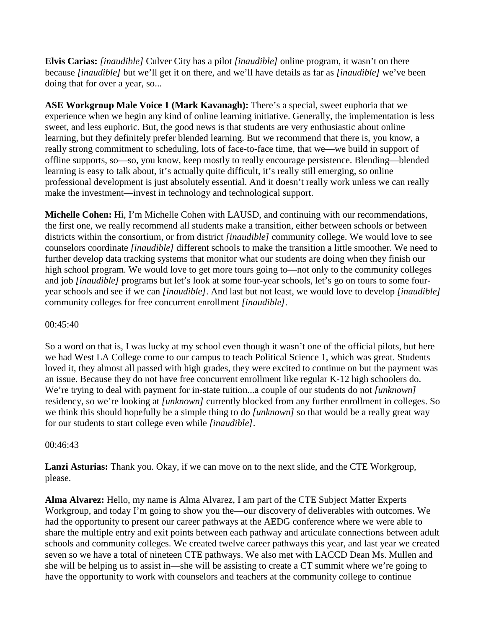**Elvis Carias:** *[inaudible]* Culver City has a pilot *[inaudible]* online program, it wasn't on there because *[inaudible]* but we'll get it on there, and we'll have details as far as *[inaudible]* we've been doing that for over a year, so...

**ASE Workgroup Male Voice 1 (Mark Kavanagh):** There's a special, sweet euphoria that we experience when we begin any kind of online learning initiative. Generally, the implementation is less sweet, and less euphoric. But, the good news is that students are very enthusiastic about online learning, but they definitely prefer blended learning. But we recommend that there is, you know, a really strong commitment to scheduling, lots of face-to-face time, that we—we build in support of offline supports, so—so, you know, keep mostly to really encourage persistence. Blending—blended learning is easy to talk about, it's actually quite difficult, it's really still emerging, so online professional development is just absolutely essential. And it doesn't really work unless we can really make the investment—invest in technology and technological support.

**Michelle Cohen:** Hi, I'm Michelle Cohen with LAUSD, and continuing with our recommendations, the first one, we really recommend all students make a transition, either between schools or between districts within the consortium, or from district *[inaudible]* community college. We would love to see counselors coordinate *[inaudible]* different schools to make the transition a little smoother. We need to further develop data tracking systems that monitor what our students are doing when they finish our high school program. We would love to get more tours going to—not only to the community colleges and job *[inaudible]* programs but let's look at some four-year schools, let's go on tours to some fouryear schools and see if we can *[inaudible]*. And last but not least, we would love to develop *[inaudible]*  community colleges for free concurrent enrollment *[inaudible]*.

00:45:40

So a word on that is, I was lucky at my school even though it wasn't one of the official pilots, but here we had West LA College come to our campus to teach Political Science 1, which was great. Students loved it, they almost all passed with high grades, they were excited to continue on but the payment was an issue. Because they do not have free concurrent enrollment like regular K-12 high schoolers do. We're trying to deal with payment for in-state tuition...a couple of our students do not *[unknown]* residency, so we're looking at *[unknown]* currently blocked from any further enrollment in colleges. So we think this should hopefully be a simple thing to do *[unknown]* so that would be a really great way for our students to start college even while *[inaudible]*.

### 00:46:43

**Lanzi Asturias:** Thank you. Okay, if we can move on to the next slide, and the CTE Workgroup, please.

**Alma Alvarez:** Hello, my name is Alma Alvarez, I am part of the CTE Subject Matter Experts Workgroup, and today I'm going to show you the—our discovery of deliverables with outcomes. We had the opportunity to present our career pathways at the AEDG conference where we were able to share the multiple entry and exit points between each pathway and articulate connections between adult schools and community colleges. We created twelve career pathways this year, and last year we created seven so we have a total of nineteen CTE pathways. We also met with LACCD Dean Ms. Mullen and she will be helping us to assist in—she will be assisting to create a CT summit where we're going to have the opportunity to work with counselors and teachers at the community college to continue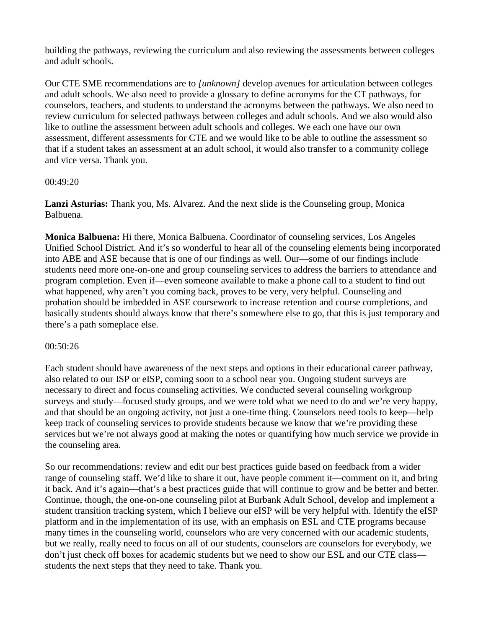building the pathways, reviewing the curriculum and also reviewing the assessments between colleges and adult schools.

Our CTE SME recommendations are to *[unknown]* develop avenues for articulation between colleges and adult schools. We also need to provide a glossary to define acronyms for the CT pathways, for counselors, teachers, and students to understand the acronyms between the pathways. We also need to review curriculum for selected pathways between colleges and adult schools. And we also would also like to outline the assessment between adult schools and colleges. We each one have our own assessment, different assessments for CTE and we would like to be able to outline the assessment so that if a student takes an assessment at an adult school, it would also transfer to a community college and vice versa. Thank you.

#### 00:49:20

**Lanzi Asturias:** Thank you, Ms. Alvarez. And the next slide is the Counseling group, Monica Balbuena.

**Monica Balbuena:** Hi there, Monica Balbuena. Coordinator of counseling services, Los Angeles Unified School District. And it's so wonderful to hear all of the counseling elements being incorporated into ABE and ASE because that is one of our findings as well. Our—some of our findings include students need more one-on-one and group counseling services to address the barriers to attendance and program completion. Even if—even someone available to make a phone call to a student to find out what happened, why aren't you coming back, proves to be very, very helpful. Counseling and probation should be imbedded in ASE coursework to increase retention and course completions, and basically students should always know that there's somewhere else to go, that this is just temporary and there's a path someplace else.

### 00:50:26

Each student should have awareness of the next steps and options in their educational career pathway, also related to our ISP or eISP, coming soon to a school near you. Ongoing student surveys are necessary to direct and focus counseling activities. We conducted several counseling workgroup surveys and study—focused study groups, and we were told what we need to do and we're very happy, and that should be an ongoing activity, not just a one-time thing. Counselors need tools to keep—help keep track of counseling services to provide students because we know that we're providing these services but we're not always good at making the notes or quantifying how much service we provide in the counseling area.

So our recommendations: review and edit our best practices guide based on feedback from a wider range of counseling staff. We'd like to share it out, have people comment it—comment on it, and bring it back. And it's again—that's a best practices guide that will continue to grow and be better and better. Continue, though, the one-on-one counseling pilot at Burbank Adult School, develop and implement a student transition tracking system, which I believe our eISP will be very helpful with. Identify the eISP platform and in the implementation of its use, with an emphasis on ESL and CTE programs because many times in the counseling world, counselors who are very concerned with our academic students, but we really, really need to focus on all of our students, counselors are counselors for everybody, we don't just check off boxes for academic students but we need to show our ESL and our CTE class students the next steps that they need to take. Thank you.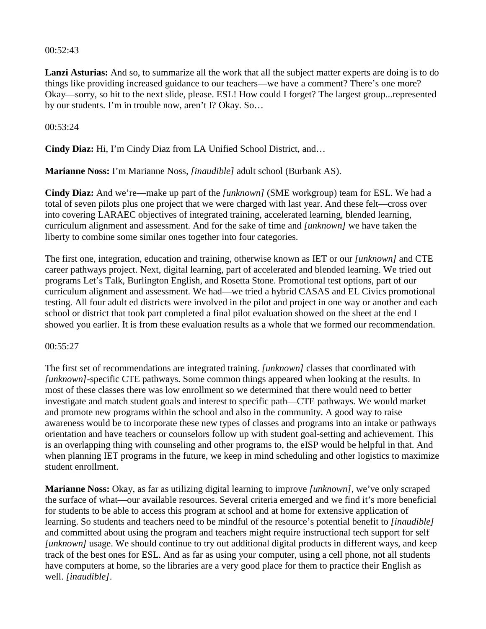#### 00:52:43

**Lanzi Asturias:** And so, to summarize all the work that all the subject matter experts are doing is to do things like providing increased guidance to our teachers—we have a comment? There's one more? Okay—sorry, so hit to the next slide, please. ESL! How could I forget? The largest group...represented by our students. I'm in trouble now, aren't I? Okay. So…

#### 00:53:24

**Cindy Diaz:** Hi, I'm Cindy Diaz from LA Unified School District, and…

**Marianne Noss:** I'm Marianne Noss, *[inaudible]* adult school (Burbank AS).

**Cindy Diaz:** And we're—make up part of the *[unknown]* (SME workgroup) team for ESL. We had a total of seven pilots plus one project that we were charged with last year. And these felt—cross over into covering LARAEC objectives of integrated training, accelerated learning, blended learning, curriculum alignment and assessment. And for the sake of time and *[unknown]* we have taken the liberty to combine some similar ones together into four categories.

The first one, integration, education and training, otherwise known as IET or our *[unknown]* and CTE career pathways project. Next, digital learning, part of accelerated and blended learning. We tried out programs Let's Talk, Burlington English, and Rosetta Stone. Promotional test options, part of our curriculum alignment and assessment. We had—we tried a hybrid CASAS and EL Civics promotional testing. All four adult ed districts were involved in the pilot and project in one way or another and each school or district that took part completed a final pilot evaluation showed on the sheet at the end I showed you earlier. It is from these evaluation results as a whole that we formed our recommendation.

#### 00:55:27

The first set of recommendations are integrated training. *[unknown]* classes that coordinated with *[unknown]*-specific CTE pathways. Some common things appeared when looking at the results. In most of these classes there was low enrollment so we determined that there would need to better investigate and match student goals and interest to specific path—CTE pathways. We would market and promote new programs within the school and also in the community. A good way to raise awareness would be to incorporate these new types of classes and programs into an intake or pathways orientation and have teachers or counselors follow up with student goal-setting and achievement. This is an overlapping thing with counseling and other programs to, the eISP would be helpful in that. And when planning IET programs in the future, we keep in mind scheduling and other logistics to maximize student enrollment.

**Marianne Noss:** Okay, as far as utilizing digital learning to improve *[unknown]*, we've only scraped the surface of what—our available resources. Several criteria emerged and we find it's more beneficial for students to be able to access this program at school and at home for extensive application of learning. So students and teachers need to be mindful of the resource's potential benefit to *[inaudible]* and committed about using the program and teachers might require instructional tech support for self *[unknown]* usage. We should continue to try out additional digital products in different ways, and keep track of the best ones for ESL. And as far as using your computer, using a cell phone, not all students have computers at home, so the libraries are a very good place for them to practice their English as well. *[inaudible]*.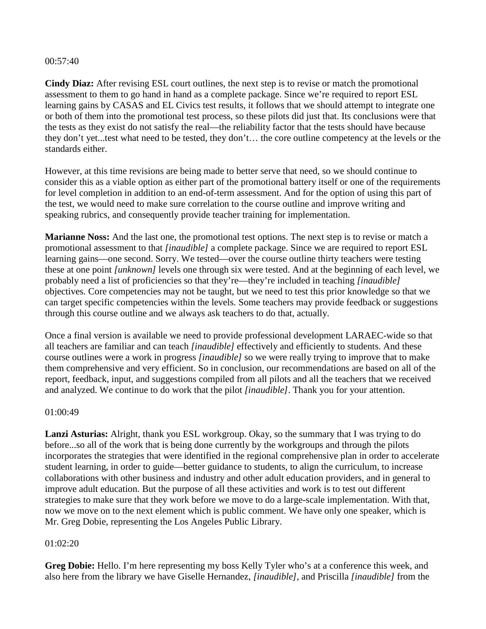#### 00:57:40

**Cindy Diaz:** After revising ESL court outlines, the next step is to revise or match the promotional assessment to them to go hand in hand as a complete package. Since we're required to report ESL learning gains by CASAS and EL Civics test results, it follows that we should attempt to integrate one or both of them into the promotional test process, so these pilots did just that. Its conclusions were that the tests as they exist do not satisfy the real—the reliability factor that the tests should have because they don't yet...test what need to be tested, they don't… the core outline competency at the levels or the standards either.

However, at this time revisions are being made to better serve that need, so we should continue to consider this as a viable option as either part of the promotional battery itself or one of the requirements for level completion in addition to an end-of-term assessment. And for the option of using this part of the test, we would need to make sure correlation to the course outline and improve writing and speaking rubrics, and consequently provide teacher training for implementation.

**Marianne Noss:** And the last one, the promotional test options. The next step is to revise or match a promotional assessment to that *[inaudible]* a complete package. Since we are required to report ESL learning gains—one second. Sorry. We tested—over the course outline thirty teachers were testing these at one point *[unknown]* levels one through six were tested. And at the beginning of each level, we probably need a list of proficiencies so that they're—they're included in teaching *[inaudible]*  objectives*.* Core competencies may not be taught, but we need to test this prior knowledge so that we can target specific competencies within the levels. Some teachers may provide feedback or suggestions through this course outline and we always ask teachers to do that, actually.

Once a final version is available we need to provide professional development LARAEC-wide so that all teachers are familiar and can teach *[inaudible]* effectively and efficiently to students. And these course outlines were a work in progress *[inaudible]* so we were really trying to improve that to make them comprehensive and very efficient. So in conclusion, our recommendations are based on all of the report, feedback, input, and suggestions compiled from all pilots and all the teachers that we received and analyzed. We continue to do work that the pilot *[inaudible]*. Thank you for your attention.

#### 01:00:49

**Lanzi Asturias:** Alright, thank you ESL workgroup. Okay, so the summary that I was trying to do before...so all of the work that is being done currently by the workgroups and through the pilots incorporates the strategies that were identified in the regional comprehensive plan in order to accelerate student learning, in order to guide—better guidance to students, to align the curriculum, to increase collaborations with other business and industry and other adult education providers, and in general to improve adult education. But the purpose of all these activities and work is to test out different strategies to make sure that they work before we move to do a large-scale implementation. With that, now we move on to the next element which is public comment. We have only one speaker, which is Mr. Greg Dobie, representing the Los Angeles Public Library.

#### 01:02:20

**Greg Dobie:** Hello. I'm here representing my boss Kelly Tyler who's at a conference this week, and also here from the library we have Giselle Hernandez, *[inaudible]*, and Priscilla *[inaudible]* from the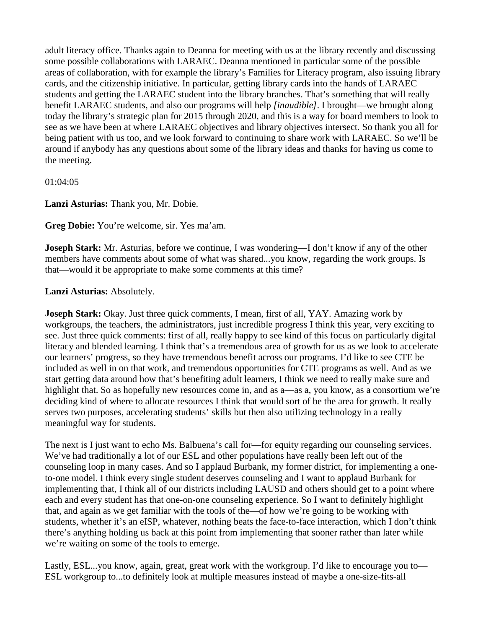adult literacy office. Thanks again to Deanna for meeting with us at the library recently and discussing some possible collaborations with LARAEC. Deanna mentioned in particular some of the possible areas of collaboration, with for example the library's Families for Literacy program, also issuing library cards, and the citizenship initiative. In particular, getting library cards into the hands of LARAEC students and getting the LARAEC student into the library branches. That's something that will really benefit LARAEC students, and also our programs will help *[inaudible]*. I brought—we brought along today the library's strategic plan for 2015 through 2020, and this is a way for board members to look to see as we have been at where LARAEC objectives and library objectives intersect. So thank you all for being patient with us too, and we look forward to continuing to share work with LARAEC. So we'll be around if anybody has any questions about some of the library ideas and thanks for having us come to the meeting.

01:04:05

**Lanzi Asturias:** Thank you, Mr. Dobie.

**Greg Dobie:** You're welcome, sir. Yes ma'am.

**Joseph Stark:** Mr. Asturias, before we continue, I was wondering—I don't know if any of the other members have comments about some of what was shared...you know, regarding the work groups. Is that—would it be appropriate to make some comments at this time?

**Lanzi Asturias:** Absolutely.

**Joseph Stark:** Okay. Just three quick comments, I mean, first of all, YAY. Amazing work by workgroups, the teachers, the administrators, just incredible progress I think this year, very exciting to see. Just three quick comments: first of all, really happy to see kind of this focus on particularly digital literacy and blended learning. I think that's a tremendous area of growth for us as we look to accelerate our learners' progress, so they have tremendous benefit across our programs. I'd like to see CTE be included as well in on that work, and tremendous opportunities for CTE programs as well. And as we start getting data around how that's benefiting adult learners, I think we need to really make sure and highlight that. So as hopefully new resources come in, and as a—as a, you know, as a consortium we're deciding kind of where to allocate resources I think that would sort of be the area for growth. It really serves two purposes, accelerating students' skills but then also utilizing technology in a really meaningful way for students.

The next is I just want to echo Ms. Balbuena's call for—for equity regarding our counseling services. We've had traditionally a lot of our ESL and other populations have really been left out of the counseling loop in many cases. And so I applaud Burbank, my former district, for implementing a oneto-one model. I think every single student deserves counseling and I want to applaud Burbank for implementing that, I think all of our districts including LAUSD and others should get to a point where each and every student has that one-on-one counseling experience. So I want to definitely highlight that, and again as we get familiar with the tools of the—of how we're going to be working with students, whether it's an eISP, whatever, nothing beats the face-to-face interaction, which I don't think there's anything holding us back at this point from implementing that sooner rather than later while we're waiting on some of the tools to emerge.

Lastly, ESL...you know, again, great, great work with the workgroup. I'd like to encourage you to— ESL workgroup to...to definitely look at multiple measures instead of maybe a one-size-fits-all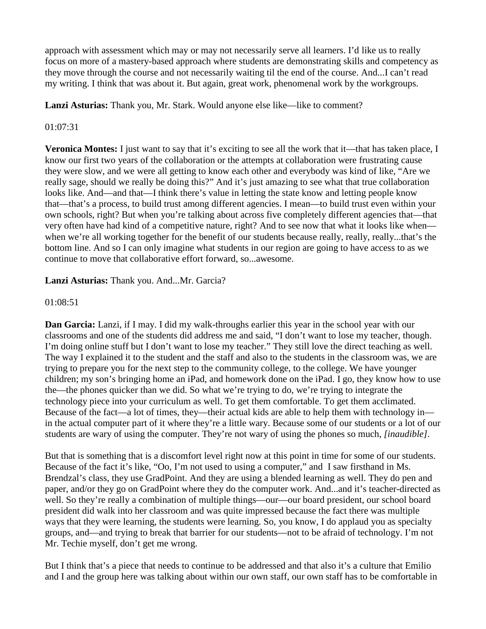approach with assessment which may or may not necessarily serve all learners. I'd like us to really focus on more of a mastery-based approach where students are demonstrating skills and competency as they move through the course and not necessarily waiting til the end of the course. And...I can't read my writing. I think that was about it. But again, great work, phenomenal work by the workgroups.

**Lanzi Asturias:** Thank you, Mr. Stark. Would anyone else like—like to comment?

# 01:07:31

**Veronica Montes:** I just want to say that it's exciting to see all the work that it—that has taken place, I know our first two years of the collaboration or the attempts at collaboration were frustrating cause they were slow, and we were all getting to know each other and everybody was kind of like, "Are we really sage, should we really be doing this?" And it's just amazing to see what that true collaboration looks like. And—and that—I think there's value in letting the state know and letting people know that—that's a process, to build trust among different agencies. I mean—to build trust even within your own schools, right? But when you're talking about across five completely different agencies that—that very often have had kind of a competitive nature, right? And to see now that what it looks like when when we're all working together for the benefit of our students because really, really, really...that's the bottom line. And so I can only imagine what students in our region are going to have access to as we continue to move that collaborative effort forward, so...awesome.

**Lanzi Asturias:** Thank you. And...Mr. Garcia?

### 01:08:51

**Dan Garcia:** Lanzi, if I may. I did my walk-throughs earlier this year in the school year with our classrooms and one of the students did address me and said, "I don't want to lose my teacher, though. I'm doing online stuff but I don't want to lose my teacher." They still love the direct teaching as well. The way I explained it to the student and the staff and also to the students in the classroom was, we are trying to prepare you for the next step to the community college, to the college. We have younger children; my son's bringing home an iPad, and homework done on the iPad. I go, they know how to use the—the phones quicker than we did. So what we're trying to do, we're trying to integrate the technology piece into your curriculum as well. To get them comfortable. To get them acclimated. Because of the fact—a lot of times, they—their actual kids are able to help them with technology in in the actual computer part of it where they're a little wary. Because some of our students or a lot of our students are wary of using the computer. They're not wary of using the phones so much, *[inaudible].* 

But that is something that is a discomfort level right now at this point in time for some of our students. Because of the fact it's like, "Oo, I'm not used to using a computer," and I saw firsthand in Ms. Brendzal's class, they use GradPoint. And they are using a blended learning as well. They do pen and paper, and/or they go on GradPoint where they do the computer work. And...and it's teacher-directed as well. So they're really a combination of multiple things—our—our board president, our school board president did walk into her classroom and was quite impressed because the fact there was multiple ways that they were learning, the students were learning. So, you know, I do applaud you as specialty groups, and—and trying to break that barrier for our students—not to be afraid of technology. I'm not Mr. Techie myself, don't get me wrong.

But I think that's a piece that needs to continue to be addressed and that also it's a culture that Emilio and I and the group here was talking about within our own staff, our own staff has to be comfortable in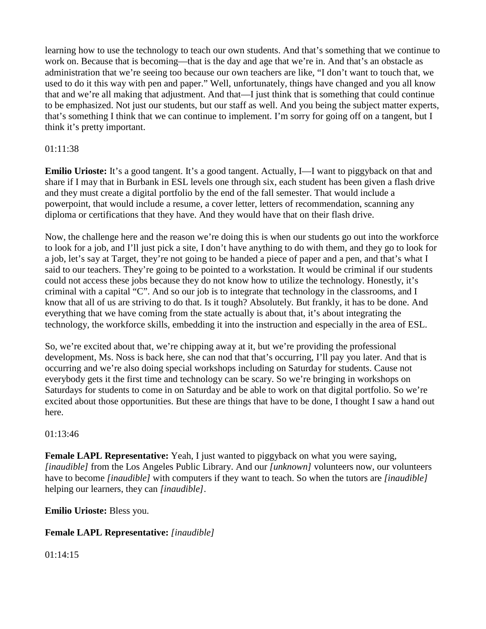learning how to use the technology to teach our own students. And that's something that we continue to work on. Because that is becoming—that is the day and age that we're in. And that's an obstacle as administration that we're seeing too because our own teachers are like, "I don't want to touch that, we used to do it this way with pen and paper." Well, unfortunately, things have changed and you all know that and we're all making that adjustment. And that—I just think that is something that could continue to be emphasized. Not just our students, but our staff as well. And you being the subject matter experts, that's something I think that we can continue to implement. I'm sorry for going off on a tangent, but I think it's pretty important.

# 01:11:38

**Emilio Urioste:** It's a good tangent. It's a good tangent. Actually, I—I want to piggyback on that and share if I may that in Burbank in ESL levels one through six, each student has been given a flash drive and they must create a digital portfolio by the end of the fall semester. That would include a powerpoint, that would include a resume, a cover letter, letters of recommendation, scanning any diploma or certifications that they have. And they would have that on their flash drive.

Now, the challenge here and the reason we're doing this is when our students go out into the workforce to look for a job, and I'll just pick a site, I don't have anything to do with them, and they go to look for a job, let's say at Target, they're not going to be handed a piece of paper and a pen, and that's what I said to our teachers. They're going to be pointed to a workstation. It would be criminal if our students could not access these jobs because they do not know how to utilize the technology. Honestly, it's criminal with a capital "C". And so our job is to integrate that technology in the classrooms, and I know that all of us are striving to do that. Is it tough? Absolutely. But frankly, it has to be done. And everything that we have coming from the state actually is about that, it's about integrating the technology, the workforce skills, embedding it into the instruction and especially in the area of ESL.

So, we're excited about that, we're chipping away at it, but we're providing the professional development, Ms. Noss is back here, she can nod that that's occurring, I'll pay you later. And that is occurring and we're also doing special workshops including on Saturday for students. Cause not everybody gets it the first time and technology can be scary. So we're bringing in workshops on Saturdays for students to come in on Saturday and be able to work on that digital portfolio. So we're excited about those opportunities. But these are things that have to be done, I thought I saw a hand out here.

### 01:13:46

**Female LAPL Representative:** Yeah, I just wanted to piggyback on what you were saying, *[inaudible]* from the Los Angeles Public Library. And our *[unknown]* volunteers now, our volunteers have to become *[inaudible]* with computers if they want to teach. So when the tutors are *[inaudible]* helping our learners, they can *[inaudible]*.

**Emilio Urioste:** Bless you.

# **Female LAPL Representative:** *[inaudible]*

01:14:15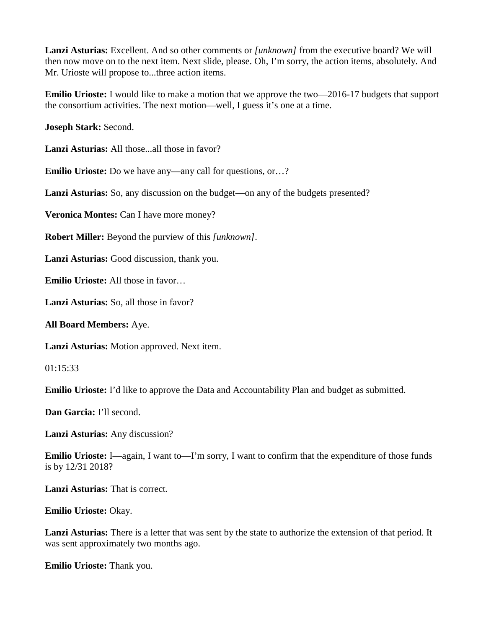**Lanzi Asturias:** Excellent. And so other comments or *[unknown]* from the executive board? We will then now move on to the next item. Next slide, please. Oh, I'm sorry, the action items, absolutely. And Mr. Urioste will propose to...three action items.

**Emilio Urioste:** I would like to make a motion that we approve the two—2016-17 budgets that support the consortium activities. The next motion—well, I guess it's one at a time.

**Joseph Stark:** Second.

**Lanzi Asturias:** All those...all those in favor?

**Emilio Urioste:** Do we have any—any call for questions, or...?

Lanzi Asturias: So, any discussion on the budget—on any of the budgets presented?

**Veronica Montes:** Can I have more money?

**Robert Miller:** Beyond the purview of this *[unknown]*.

**Lanzi Asturias:** Good discussion, thank you.

**Emilio Urioste:** All those in favor…

**Lanzi Asturias:** So, all those in favor?

**All Board Members:** Aye.

**Lanzi Asturias:** Motion approved. Next item.

01:15:33

**Emilio Urioste:** I'd like to approve the Data and Accountability Plan and budget as submitted.

**Dan Garcia:** I'll second.

**Lanzi Asturias:** Any discussion?

**Emilio Urioste:** I—again, I want to—I'm sorry, I want to confirm that the expenditure of those funds is by 12/31 2018?

**Lanzi Asturias:** That is correct.

**Emilio Urioste:** Okay.

**Lanzi Asturias:** There is a letter that was sent by the state to authorize the extension of that period. It was sent approximately two months ago.

**Emilio Urioste:** Thank you.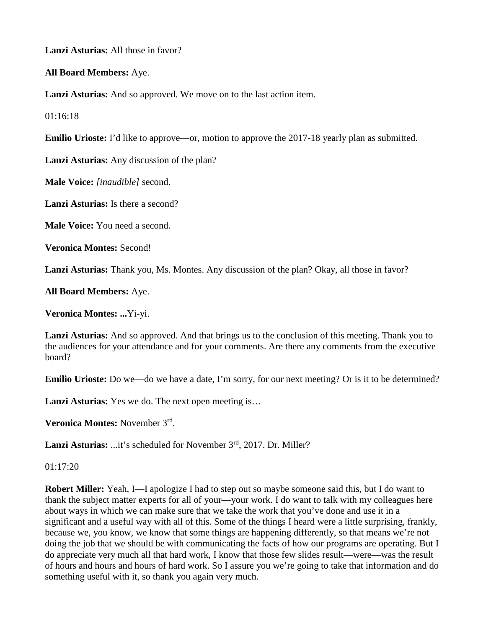**Lanzi Asturias:** All those in favor?

**All Board Members:** Aye.

**Lanzi Asturias:** And so approved. We move on to the last action item.

 $01.16.18$ 

**Emilio Urioste:** I'd like to approve—or, motion to approve the 2017-18 yearly plan as submitted.

**Lanzi Asturias:** Any discussion of the plan?

**Male Voice:** *[inaudible]* second.

**Lanzi Asturias:** Is there a second?

**Male Voice:** You need a second.

**Veronica Montes:** Second!

**Lanzi Asturias:** Thank you, Ms. Montes. Any discussion of the plan? Okay, all those in favor?

**All Board Members:** Aye.

**Veronica Montes: ...**Yi-yi.

**Lanzi Asturias:** And so approved. And that brings us to the conclusion of this meeting. Thank you to the audiences for your attendance and for your comments. Are there any comments from the executive board?

**Emilio Urioste:** Do we—do we have a date, I'm sorry, for our next meeting? Or is it to be determined?

Lanzi Asturias: Yes we do. The next open meeting is...

**Veronica Montes:** November 3rd.

Lanzi Asturias: ...it's scheduled for November 3<sup>rd</sup>, 2017. Dr. Miller?

01:17:20

**Robert Miller:** Yeah, I—I apologize I had to step out so maybe someone said this, but I do want to thank the subject matter experts for all of your—your work. I do want to talk with my colleagues here about ways in which we can make sure that we take the work that you've done and use it in a significant and a useful way with all of this. Some of the things I heard were a little surprising, frankly, because we, you know, we know that some things are happening differently, so that means we're not doing the job that we should be with communicating the facts of how our programs are operating. But I do appreciate very much all that hard work, I know that those few slides result—were—was the result of hours and hours and hours of hard work. So I assure you we're going to take that information and do something useful with it, so thank you again very much.